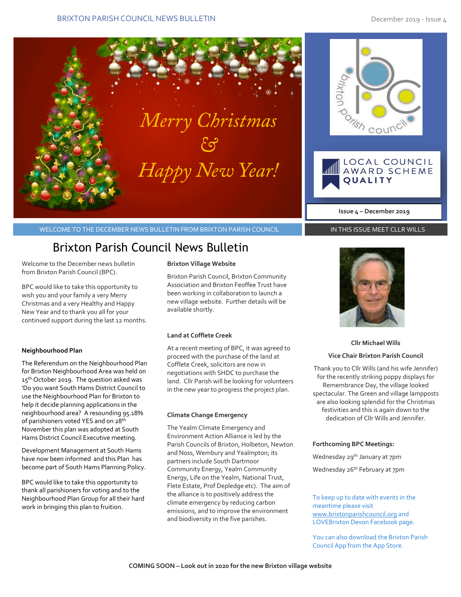

I



WELCOME TO THE DECEMBER NEWS BULLETIN FROM BRIXTON PARISH COUNCIL

# Brixton Parish Council News Bulletin

Welcome to the December news bulletin from Brixton Parish Council (BPC).

BPC would like to take this opportunity to wish you and your family a very Merry Christmas and a very Healthy and Happy New Year and to thank you all for your continued support during the last 12 months.

### **Neighbourhood Plan**

The Referendum on the Neighbourhood Plan for Brixton Neighbourhood Area was held on 15<sup>th</sup> October 2019. The question asked was 'Do you want South Hams District Council to use the Neighbourhood Plan for Brixton to help it decide planning applications in the neighbourhood area? A resounding 95.18% of parishioners voted YES and on 28<sup>th</sup> November this plan was adopted at South Hams District Council Executive meeting.

Development Management at South Hams have now been informed and this Plan has become part of South Hams Planning Policy.

BPC would like to take this opportunity to thank all parishioners for voting and to the Neighbourhood Plan Group for all their hard work in bringing this plan to fruition.

#### **Brixton Village Website**

Brixton Parish Council, Brixton Community Association and Brixton Feoffee Trust have been working in collaboration to launch a new village website. Further details will be available shortly.

#### **Land at Cofflete Creek**

At a recent meeting of BPC, it was agreed to proceed with the purchase of the land at Cofflete Creek, solicitors are now in negotiations with SHDC to purchase the land. Cllr Parish will be looking for volunteers in the new year to progress the project plan.

#### **Climate Change Emergency**

The Yealm Climate Emergency and Environment Action Alliance is led by the Parish Councils of Brixton, Holbeton, Newton and Noss, Wembury and Yealmpton; its partners include South Dartmoor Community Energy, Yealm Community Energy, Life on the Yealm, National Trust, Flete Estate, Prof Depledge etc). The aim of the alliance is to positively address the climate emergency by reducing carbon emissions, and to improve the environment and biodiversity in the five parishes.



**Issue 4 – December 2019**

**QUALITY** 

LOCAL COUNCIL

AWARD SCHEME

Tish cout

# **Cllr Michael Wills**

## **Vice Chair Brixton Parish Council**

Thank you to Cllr Wills (and his wife Jennifer) for the recently striking poppy displays for Remembrance Day, the village looked spectacular. The Green and village lampposts are also looking splendid for the Christmas festivities and this is again down to the dedication of Cllr Wills and Jennifer.

#### **Forthcoming BPC Meetings:**

Wednesday 29<sup>th</sup> January at 7pm Wednesday 26<sup>th</sup> February at 7pm

To keep up to date with events in the meantime please visit [www.brixtonparishcouncil.org](http://www.brixtonparishcouncil.org/) and LOVEBrixton Devon Facebook page.

You can also download the Brixton Parish Council App from the App Store.